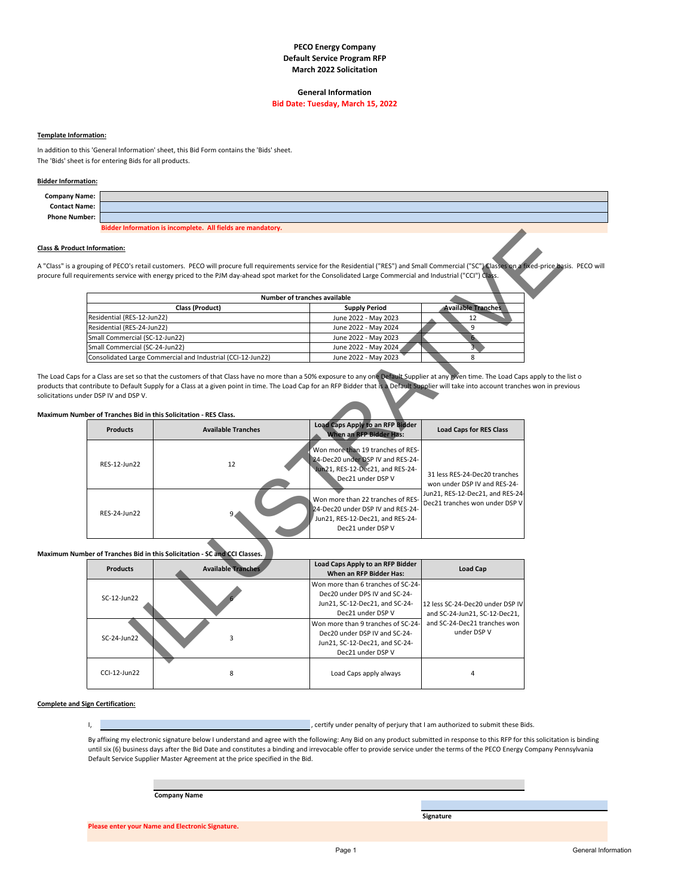### **General Information**

#### **Bid Date: Tuesday, March 15, 2022**

#### **Template Information:**

In addition to this 'General Information' sheet, this Bid Form contains the 'Bids' sheet. The 'Bids' sheet is for entering Bids for all products.

#### **Bidder Information:**

| Company Name:        |                                                             |  |
|----------------------|-------------------------------------------------------------|--|
| <b>Contact Name:</b> |                                                             |  |
| <b>Phone Number:</b> |                                                             |  |
|                      | Bidder Information is incomplete. All fields are mandatory. |  |

### **Class & Product Information:**

A "Class" is a grouping of PECO's retail customers. PECO will procure full requirements service for the Residential ("RES") and Small Commercial ("SC") Classes on a fixed-price basis. PECO will procure full requirements service with energy priced to the PJM day‐ahead spot market for the Consolidated Large Commercial and Industrial ("CCI") Class.

| Number of tranches available                                |                      |                           |
|-------------------------------------------------------------|----------------------|---------------------------|
| Class (Product)                                             | <b>Supply Period</b> | <b>Available Tranches</b> |
| Residential (RES-12-Jun22)                                  | June 2022 - May 2023 |                           |
| Residential (RES-24-Jun22)                                  | June 2022 - May 2024 |                           |
| Small Commercial (SC-12-Jun22)                              | June 2022 - May 2023 |                           |
| Small Commercial (SC-24-Jun22)                              | June 2022 - May 2024 |                           |
| Consolidated Large Commercial and Industrial (CCI-12-Jun22) | June 2022 - May 2023 |                           |

The Load Caps for a Class are set so that the customers of that Class have no more than a 50% exposure to any one Default Supplier at any given time. The Load Caps apply to the list o products that contribute to Default Supply for a Class at a given point in time. The Load Cap for an RFP Bidder that is a Default Supplier will take into account tranches won in previous solicitations under DSP IV and DSP V.

# **Maximum Number of Tranches Bid in this Solicitation ‐ RES Class.**

|                                | ouping of PECO's retail customers. PECO will procure full requirements service for the Residential ("RES") and Small Commercial ("SC") Classes on a fixed-price ba<br>uirements service with energy priced to the PJM day-ahead spot market for the Consolidated Large Commercial and Industrial ("CCI") Class. |                                                                                                                                 |                                                                    |
|--------------------------------|-----------------------------------------------------------------------------------------------------------------------------------------------------------------------------------------------------------------------------------------------------------------------------------------------------------------|---------------------------------------------------------------------------------------------------------------------------------|--------------------------------------------------------------------|
|                                |                                                                                                                                                                                                                                                                                                                 | Number of tranches available                                                                                                    |                                                                    |
|                                | Class (Product)                                                                                                                                                                                                                                                                                                 | <b>Supply Period</b>                                                                                                            | <b>Available Tranches</b>                                          |
| Residential (RES-12-Jun22)     |                                                                                                                                                                                                                                                                                                                 | June 2022 - May 2023                                                                                                            | 12                                                                 |
| Residential (RES-24-Jun22)     |                                                                                                                                                                                                                                                                                                                 | June 2022 - May 2024                                                                                                            | 9                                                                  |
| Small Commercial (SC-12-Jun22) |                                                                                                                                                                                                                                                                                                                 | June 2022 - May 2023                                                                                                            | 6 <sub>2</sub>                                                     |
| Small Commercial (SC-24-Jun22) |                                                                                                                                                                                                                                                                                                                 | June 2022 - May 2024                                                                                                            | $\overline{\mathbf{3}}$                                            |
|                                | Consolidated Large Commercial and Industrial (CCI-12-Jun22)                                                                                                                                                                                                                                                     | June 2022 - May 2023                                                                                                            | 8                                                                  |
| <b>Products</b>                | nber of Tranches Bid in this Solicitation - RES Class.<br><b>Available Tranches</b>                                                                                                                                                                                                                             | Load Caps Apply to an RFP Bidder<br>When an RFP Bidder Has:                                                                     | <b>Load Caps for RES Class</b>                                     |
| RES-12-Jun22                   | 12                                                                                                                                                                                                                                                                                                              | Won more than 19 tranches of RES-<br>24-Dec20 under DSP IV and RES-24-<br>Jun21, RES-12-Dec21, and RES-24-<br>Dec21 under DSP V | 31 less RES-24-Dec20 tranches                                      |
|                                |                                                                                                                                                                                                                                                                                                                 |                                                                                                                                 | won under DSP IV and RES-24-                                       |
| RES-24-Jun22                   |                                                                                                                                                                                                                                                                                                                 | Won more than 22 tranches of RES-<br>24-Dec20 under DSP IV and RES-24-<br>Jun21, RES-12-Dec21, and RES-24-<br>Dec21 under DSP V | Jun21, RES-12-Dec21, and RES-24-<br>Dec21 tranches won under DSP V |
|                                | hber of Tranches Bid in this Solicitation - SC and CCI Classes.                                                                                                                                                                                                                                                 |                                                                                                                                 |                                                                    |
| <b>Products</b>                | <b>Available Tranches</b>                                                                                                                                                                                                                                                                                       | Load Caps Apply to an RFP Bidder<br><b>When an RFP Bidder Has:</b>                                                              | <b>Load Cap</b>                                                    |
| SC-12-Jun22                    |                                                                                                                                                                                                                                                                                                                 | Won more than 6 tranches of SC-24-<br>Dec20 under DPS IV and SC-24-<br>Jun21, SC-12-Dec21, and SC-24-<br>Dec21 under DSP V      | 12 less SC-24-Dec20 under DSP IV<br>and SC-24-Jun21, SC-12-Dec21,  |

#### **Maximum Number of Tranches Bid in this Solicitation ‐ SC and CCI Classes.**

| <b>Products</b>    | <b>Available Tranches</b> | Load Caps Apply to an RFP Bidder<br>When an RFP Bidder Has:                                                                | <b>Load Cap</b>                                                   |
|--------------------|---------------------------|----------------------------------------------------------------------------------------------------------------------------|-------------------------------------------------------------------|
| $SC-12$ -Jun22     |                           | Won more than 6 tranches of SC-24-<br>Dec20 under DPS IV and SC-24-<br>Jun21, SC-12-Dec21, and SC-24-<br>Dec21 under DSP V | 12 less SC-24-Dec20 under DSP IV<br>and SC-24-Jun21, SC-12-Dec21, |
| $SC-24$ -Jun $22$  |                           | Won more than 9 tranches of SC-24-<br>Dec20 under DSP IV and SC-24-<br>Jun21, SC-12-Dec21, and SC-24-<br>Dec21 under DSP V | and SC-24-Dec21 tranches won<br>under DSP V                       |
| $CCl-12$ -lun $22$ | 8                         | Load Caps apply always                                                                                                     |                                                                   |

#### **Complete and Sign Certification:**

**Please** 

I, the certify under penalty of perjury that I am authorized to submit these Bids.

By affixing my electronic signature below I understand and agree with the following: Any Bid on any product submitted in response to this RFP for this solicitation is binding until six (6) business days after the Bid Date and constitutes a binding and irrevocable offer to provide service under the terms of the PECO Energy Company Pennsylvania Default Service Supplier Master Agreement at the price specified in the Bid.

| <b>Company Name</b>                              |           |  |
|--------------------------------------------------|-----------|--|
|                                                  |           |  |
|                                                  |           |  |
|                                                  | Signature |  |
| <b>Inter your Name and Electronic Signature.</b> |           |  |